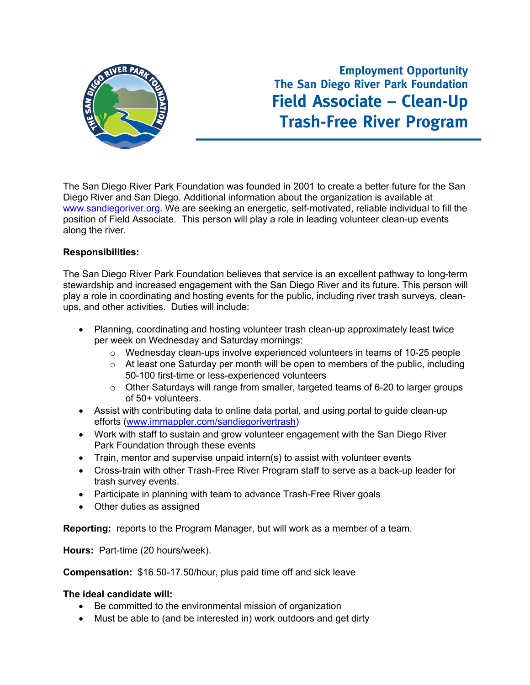

## **Employment Opportunity The San Diego River Park Foundation Field Associate – Clean-Up Trash-Free River Program**

The San Diego River Park Foundation was founded in 2001 to create a better future for the San Diego River and San Diego. Additional information about the organization is available at www.sandiegoriver.org. We are seeking an energetic, self-motivated, reliable individual to fill the position of Field Associate. This person will play a role in leading volunteer clean-up events along the river.

## **Responsibilities:**

The San Diego River Park Foundation believes that service is an excellent pathway to long-term stewardship and increased engagement with the San Diego River and its future. This person will play a role in coordinating and hosting events for the public, including river trash surveys, cleanups, and other activities. Duties will include:

- Planning, coordinating and hosting volunteer trash clean-up approximately least twice per week on Wednesday and Saturday mornings:
	- o Wednesday clean-ups involve experienced volunteers in teams of 10-25 people
	- o At least one Saturday per month will be open to members of the public, including 50-100 first-time or less-experienced volunteers
	- o Other Saturdays will range from smaller, targeted teams of 6-20 to larger groups of 50+ volunteers.
- Assist with contributing data to online data portal, and using portal to guide clean-up efforts (www.immappler.com/sandiegorivertrash)
- Work with staff to sustain and grow volunteer engagement with the San Diego River Park Foundation through these events
- Train, mentor and supervise unpaid intern(s) to assist with volunteer events
- Cross-train with other Trash-Free River Program staff to serve as a back-up leader for trash survey events.
- Participate in planning with team to advance Trash-Free River goals
- Other duties as assigned

**Reporting:** reports to the Program Manager, but will work as a member of a team.

**Hours:** Part-time (20 hours/week).

**Compensation:** \$16.50-17.50/hour, plus paid time off and sick leave

## **The ideal candidate will:**

- Be committed to the environmental mission of organization
- Must be able to (and be interested in) work outdoors and get dirty